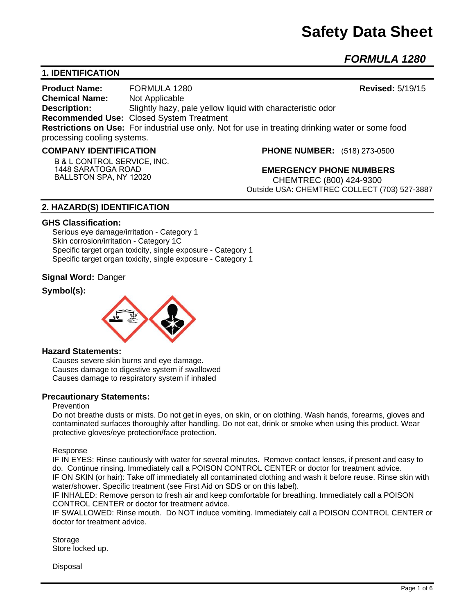# **Safety Data Sheet**

*FORMULA 1280*

## **1. IDENTIFICATION**

**Product Name:** FORMULA 1280 **Revised:** 5/19/15 **Chemical Name:** Not Applicable **Description:** Slightly hazy, pale yellow liquid with characteristic odor **Recommended Use:** Closed System Treatment **Restrictions on Use:** For industrial use only. Not for use in treating drinking water or some food processing cooling systems.

#### **COMPANY IDENTIFICATION**

**B & L CONTROL SERVICE, INC. 1448 SARATOGA ROAD BALLSTON SPA, NY 12020**

**PHONE NUMBER:** (518) 273-0500

**EMERGENCY PHONE NUMBERS** CHEMTREC (800) 424-9300 Outside USA: CHEMTREC COLLECT (703) 527-3887

## **2. HAZARD(S) IDENTIFICATION**

#### **GHS Classification:**

Serious eye damage/irritation - Category 1 Skin corrosion/irritation - Category 1C Specific target organ toxicity, single exposure - Category 1 Specific target organ toxicity, single exposure - Category 1

## **Signal Word:** Danger

## **Symbol(s):**



#### **Hazard Statements:**

Causes severe skin burns and eye damage. Causes damage to digestive system if swallowed Causes damage to respiratory system if inhaled

## **Precautionary Statements:**

#### Prevention

Do not breathe dusts or mists. Do not get in eyes, on skin, or on clothing. Wash hands, forearms, gloves and contaminated surfaces thoroughly after handling. Do not eat, drink or smoke when using this product. Wear protective gloves/eye protection/face protection.

Response

IF IN EYES: Rinse cautiously with water for several minutes. Remove contact lenses, if present and easy to do. Continue rinsing. Immediately call a POISON CONTROL CENTER or doctor for treatment advice. IF ON SKIN (or hair): Take off immediately all contaminated clothing and wash it before reuse. Rinse skin with water/shower. Specific treatment (see First Aid on SDS or on this label).

IF INHALED: Remove person to fresh air and keep comfortable for breathing. Immediately call a POISON CONTROL CENTER or doctor for treatment advice.

IF SWALLOWED: Rinse mouth. Do NOT induce vomiting. Immediately call a POISON CONTROL CENTER or doctor for treatment advice.

Storage Store locked up.

Disposal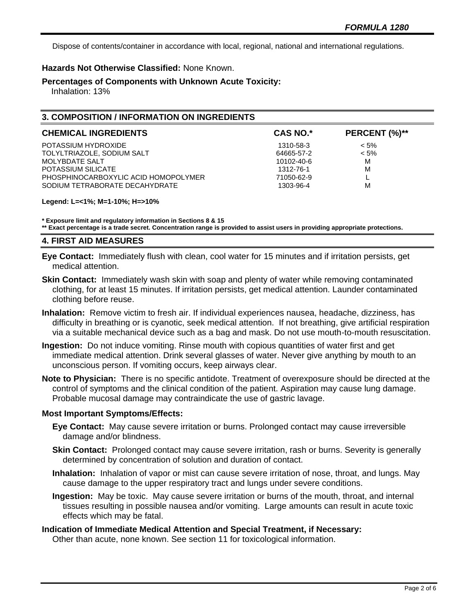Dispose of contents/container in accordance with local, regional, national and international regulations.

## **Hazards Not Otherwise Classified:** None Known.

**Percentages of Components with Unknown Acute Toxicity:** 

Inhalation: 13%

# **3. COMPOSITION / INFORMATION ON INGREDIENTS**

| <b>CHEMICAL INGREDIENTS</b>          | <b>CAS NO.*</b> | PERCENT (%)** |
|--------------------------------------|-----------------|---------------|
| POTASSIUM HYDROXIDE                  | 1310-58-3       | $< 5\%$       |
| TOLYLTRIAZOLE, SODIUM SALT           | 64665-57-2      | $< 5\%$       |
| MOLYBDATE SALT                       | 10102-40-6      | м             |
| POTASSIUM SILICATE                   | 1312-76-1       | M             |
| PHOSPHINOCARBOXYLIC ACID HOMOPOLYMER | 71050-62-9      |               |
| SODIUM TETRABORATE DECAHYDRATE       | 1303-96-4       | M             |

**Legend: L=<1%; M=1-10%; H=>10%**

**\* Exposure limit and regulatory information in Sections 8 & 15**

**\*\* Exact percentage is a trade secret. Concentration range is provided to assist users in providing appropriate protections.**

## **4. FIRST AID MEASURES**

**Eye Contact:** Immediately flush with clean, cool water for 15 minutes and if irritation persists, get medical attention.

- **Skin Contact:** Immediately wash skin with soap and plenty of water while removing contaminated clothing, for at least 15 minutes. If irritation persists, get medical attention. Launder contaminated clothing before reuse.
- **Inhalation:** Remove victim to fresh air. If individual experiences nausea, headache, dizziness, has difficulty in breathing or is cyanotic, seek medical attention. If not breathing, give artificial respiration via a suitable mechanical device such as a bag and mask. Do not use mouth-to-mouth resuscitation.
- **Ingestion:** Do not induce vomiting. Rinse mouth with copious quantities of water first and get immediate medical attention. Drink several glasses of water. Never give anything by mouth to an unconscious person. If vomiting occurs, keep airways clear.
- **Note to Physician:** There is no specific antidote. Treatment of overexposure should be directed at the control of symptoms and the clinical condition of the patient. Aspiration may cause lung damage. Probable mucosal damage may contraindicate the use of gastric lavage.

## **Most Important Symptoms/Effects:**

- **Eye Contact:** May cause severe irritation or burns. Prolonged contact may cause irreversible damage and/or blindness.
- **Skin Contact:** Prolonged contact may cause severe irritation, rash or burns. Severity is generally determined by concentration of solution and duration of contact.
- **Inhalation:** Inhalation of vapor or mist can cause severe irritation of nose, throat, and lungs. May cause damage to the upper respiratory tract and lungs under severe conditions.
- **Ingestion:** May be toxic. May cause severe irritation or burns of the mouth, throat, and internal tissues resulting in possible nausea and/or vomiting. Large amounts can result in acute toxic effects which may be fatal.

# **Indication of Immediate Medical Attention and Special Treatment, if Necessary:**

Other than acute, none known. See section 11 for toxicological information.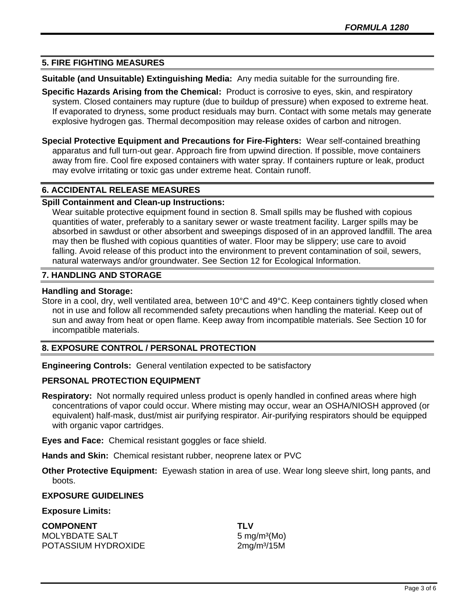## **5. FIRE FIGHTING MEASURES**

**Suitable (and Unsuitable) Extinguishing Media:** Any media suitable for the surrounding fire.

**Specific Hazards Arising from the Chemical:** Product is corrosive to eyes, skin, and respiratory system. Closed containers may rupture (due to buildup of pressure) when exposed to extreme heat. If evaporated to dryness, some product residuals may burn. Contact with some metals may generate explosive hydrogen gas. Thermal decomposition may release oxides of carbon and nitrogen.

**Special Protective Equipment and Precautions for Fire-Fighters:** Wear self-contained breathing apparatus and full turn-out gear. Approach fire from upwind direction. If possible, move containers away from fire. Cool fire exposed containers with water spray. If containers rupture or leak, product may evolve irritating or toxic gas under extreme heat. Contain runoff.

## **6. ACCIDENTAL RELEASE MEASURES**

## **Spill Containment and Clean-up Instructions:**

Wear suitable protective equipment found in section 8. Small spills may be flushed with copious quantities of water, preferably to a sanitary sewer or waste treatment facility. Larger spills may be absorbed in sawdust or other absorbent and sweepings disposed of in an approved landfill. The area may then be flushed with copious quantities of water. Floor may be slippery; use care to avoid falling. Avoid release of this product into the environment to prevent contamination of soil, sewers, natural waterways and/or groundwater. See Section 12 for Ecological Information.

## **7. HANDLING AND STORAGE**

## **Handling and Storage:**

Store in a cool, dry, well ventilated area, between 10°C and 49°C. Keep containers tightly closed when not in use and follow all recommended safety precautions when handling the material. Keep out of sun and away from heat or open flame. Keep away from incompatible materials. See Section 10 for incompatible materials.

# **8. EXPOSURE CONTROL / PERSONAL PROTECTION**

**Engineering Controls:** General ventilation expected to be satisfactory

## **PERSONAL PROTECTION EQUIPMENT**

**Respiratory:** Not normally required unless product is openly handled in confined areas where high concentrations of vapor could occur. Where misting may occur, wear an OSHA/NIOSH approved (or equivalent) half-mask, dust/mist air purifying respirator. Air-purifying respirators should be equipped with organic vapor cartridges.

**Eyes and Face:** Chemical resistant goggles or face shield.

**Hands and Skin:** Chemical resistant rubber, neoprene latex or PVC

**Other Protective Equipment:** Eyewash station in area of use. Wear long sleeve shirt, long pants, and boots.

## **EXPOSURE GUIDELINES**

## **Exposure Limits:**

**COMPONENT TLV** MOLYBDATE SALT 5 mg/m<sup>3</sup>(Mo) POTASSIUM HYDROXIDE 2mg/m<sup>3</sup>/15M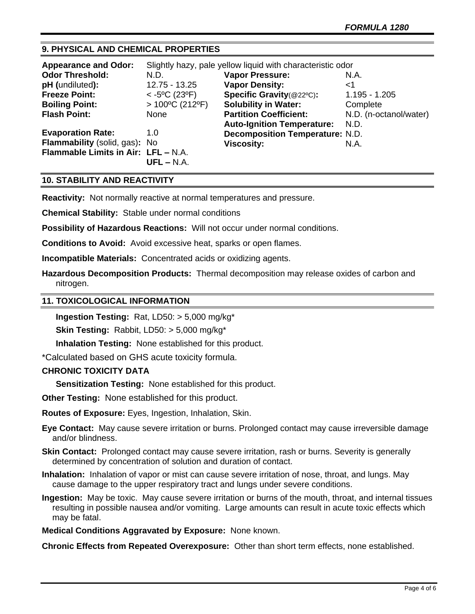# **9. PHYSICAL AND CHEMICAL PROPERTIES**

| Slightly hazy, pale yellow liquid with characteristic odor |                                   |                                        |
|------------------------------------------------------------|-----------------------------------|----------------------------------------|
| N.D.                                                       | <b>Vapor Pressure:</b>            | N.A.                                   |
| 12.75 - 13.25                                              | <b>Vapor Density:</b>             | ا>                                     |
| $<$ -5°C (23°F)                                            | Specific Gravity(@22°C):          | $1.195 - 1.205$                        |
| $> 100^{\circ}$ C (212°F)                                  | <b>Solubility in Water:</b>       | Complete                               |
| None                                                       | <b>Partition Coefficient:</b>     | N.D. (n-octanol/water)                 |
|                                                            | <b>Auto-Ignition Temperature:</b> | N.D.                                   |
| 1.0                                                        |                                   |                                        |
|                                                            | <b>Viscosity:</b>                 | N.A.                                   |
| Flammable Limits in Air: LFL - N.A.<br>$UFL - N.A.$        |                                   |                                        |
|                                                            | Flammability (solid, gas): No     | <b>Decomposition Temperature: N.D.</b> |

## **10. STABILITY AND REACTIVITY**

**Reactivity:** Not normally reactive at normal temperatures and pressure.

**Chemical Stability:** Stable under normal conditions

**Possibility of Hazardous Reactions:** Will not occur under normal conditions.

**Conditions to Avoid:** Avoid excessive heat, sparks or open flames.

**Incompatible Materials:** Concentrated acids or oxidizing agents.

**Hazardous Decomposition Products:** Thermal decomposition may release oxides of carbon and nitrogen.

#### **11. TOXICOLOGICAL INFORMATION**

**Ingestion Testing:** Rat, LD50: > 5,000 mg/kg\*

**Skin Testing:** Rabbit, LD50: > 5,000 mg/kg\*

**Inhalation Testing:** None established for this product.

\*Calculated based on GHS acute toxicity formula.

## **CHRONIC TOXICITY DATA**

**Sensitization Testing:** None established for this product.

**Other Testing:** None established for this product.

**Routes of Exposure:** Eyes, Ingestion, Inhalation, Skin.

**Eye Contact:** May cause severe irritation or burns. Prolonged contact may cause irreversible damage and/or blindness.

- **Skin Contact:** Prolonged contact may cause severe irritation, rash or burns. Severity is generally determined by concentration of solution and duration of contact.
- **Inhalation:** Inhalation of vapor or mist can cause severe irritation of nose, throat, and lungs. May cause damage to the upper respiratory tract and lungs under severe conditions.
- **Ingestion:** May be toxic. May cause severe irritation or burns of the mouth, throat, and internal tissues resulting in possible nausea and/or vomiting. Large amounts can result in acute toxic effects which may be fatal.

**Medical Conditions Aggravated by Exposure:** None known.

**Chronic Effects from Repeated Overexposure:** Other than short term effects, none established.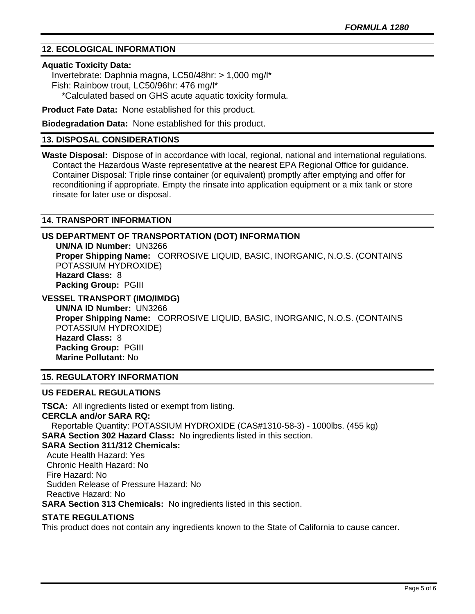# **12. ECOLOGICAL INFORMATION**

## **Aquatic Toxicity Data:**

 Invertebrate: Daphnia magna, LC50/48hr: > 1,000 mg/l\* Fish: Rainbow trout, LC50/96hr: 476 mg/l\* \*Calculated based on GHS acute aquatic toxicity formula.

**Product Fate Data:** None established for this product.

**Biodegradation Data:** None established for this product.

## **13. DISPOSAL CONSIDERATIONS**

**Waste Disposal:** Dispose of in accordance with local, regional, national and international regulations. Contact the Hazardous Waste representative at the nearest EPA Regional Office for guidance. Container Disposal: Triple rinse container (or equivalent) promptly after emptying and offer for reconditioning if appropriate. Empty the rinsate into application equipment or a mix tank or store rinsate for later use or disposal.

## **14. TRANSPORT INFORMATION**

## **US DEPARTMENT OF TRANSPORTATION (DOT) INFORMATION**

**UN/NA ID Number:** UN3266 **Proper Shipping Name:** CORROSIVE LIQUID, BASIC, INORGANIC, N.O.S. (CONTAINS POTASSIUM HYDROXIDE) **Hazard Class:** 8 **Packing Group:** PGIII

**VESSEL TRANSPORT (IMO/IMDG)**

**UN/NA ID Number:** UN3266 **Proper Shipping Name:** CORROSIVE LIQUID, BASIC, INORGANIC, N.O.S. (CONTAINS POTASSIUM HYDROXIDE) **Hazard Class:** 8 **Packing Group:** PGIII **Marine Pollutant:** No

## **15. REGULATORY INFORMATION**

## **US FEDERAL REGULATIONS**

**TSCA:** All ingredients listed or exempt from listing. **CERCLA and/or SARA RQ:**  Reportable Quantity: POTASSIUM HYDROXIDE (CAS#1310-58-3) - 1000lbs. (455 kg) **SARA Section 302 Hazard Class:** No ingredients listed in this section. **SARA Section 311/312 Chemicals:**  Acute Health Hazard: Yes Chronic Health Hazard: No Fire Hazard: No Sudden Release of Pressure Hazard: No Reactive Hazard: No **SARA Section 313 Chemicals:** No ingredients listed in this section.

## **STATE REGULATIONS**

This product does not contain any ingredients known to the State of California to cause cancer.